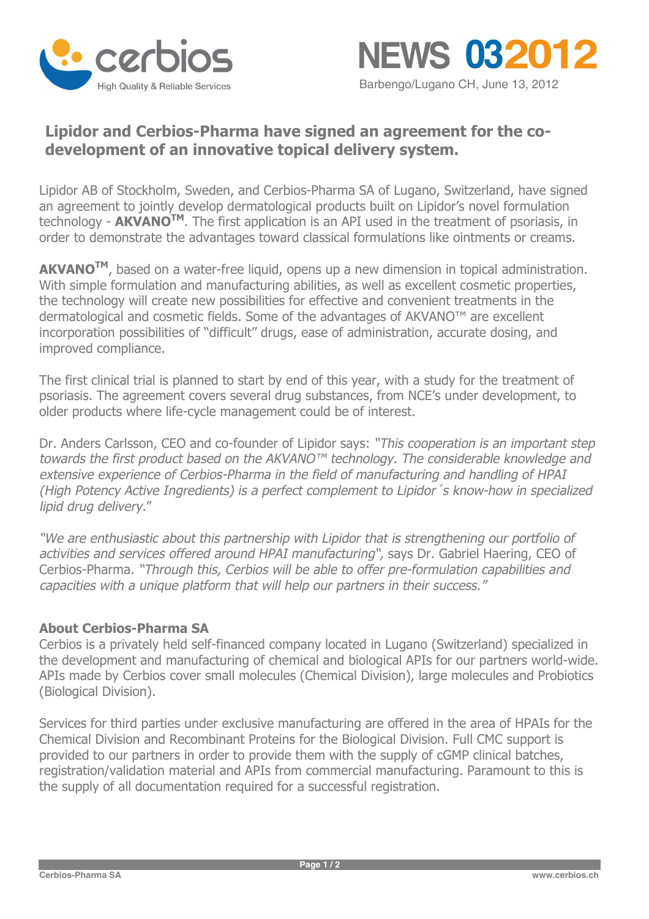



# **Lipidor and Cerbios-Pharma have signed an agreement for the codevelopment of an innovative topical delivery system.**

Lipidor AB of Stockholm, Sweden, and Cerbios-Pharma SA of Lugano, Switzerland, have signed an agreement to jointly develop dermatological products built on Lipidor's novel formulation technology - **AKVANOTM**. The first application is an API used in the treatment of psoriasis, in order to demonstrate the advantages toward classical formulations like ointments or creams.

**AKVANOTM** , based on a water-free liquid, opens up a new dimension in topical administration. With simple formulation and manufacturing abilities, as well as excellent cosmetic properties, the technology will create new possibilities for effective and convenient treatments in the dermatological and cosmetic fields. Some of the advantages of AKVANO™ are excellent incorporation possibilities of "difficult" drugs, ease of administration, accurate dosing, and improved compliance.

The first clinical trial is planned to start by end of this year, with a study for the treatment of psoriasis. The agreement covers several drug substances, from NCE's under development, to older products where life-cycle management could be of interest.

Dr. Anders Carlsson, CEO and co-founder of Lipidor says: *"This cooperation is an important step towards the first product based on the AKVANO™ technology. The considerable knowledge and extensive experience of Cerbios-Pharma in the field of manufacturing and handling of HPAI (High Potency Active Ingredients) is a perfect complement to Lipidor´s know-how in specialized lipid drug delivery.*"

*"We are enthusiastic about this partnership with Lipidor that is strengthening our portfolio of activities and services offered around HPAI manufacturing",* says Dr. Gabriel Haering, CEO of Cerbios-Pharma*. "Through this, Cerbios will be able to offer pre-formulation capabilities and capacities with <sup>a</sup> unique platform that will help our partners in their success."* 

## **About Cerbios-Pharma SA**

Cerbios is a privately held self-financed company located in Lugano (Switzerland) specialized in the development and manufacturing of chemical and biological APIs for our partners world-wide. APIs made by Cerbios cover small molecules (Chemical Division), large molecules and Probiotics (Biological Division).

Services for third parties under exclusive manufacturing are offered in the area of HPAIs for the Chemical Division and Recombinant Proteins for the Biological Division. Full CMC support is provided to our partners in order to provide them with the supply of cGMP clinical batches, registration/validation material and APIs from commercial manufacturing. Paramount to this is the supply of all documentation required for a successful registration.